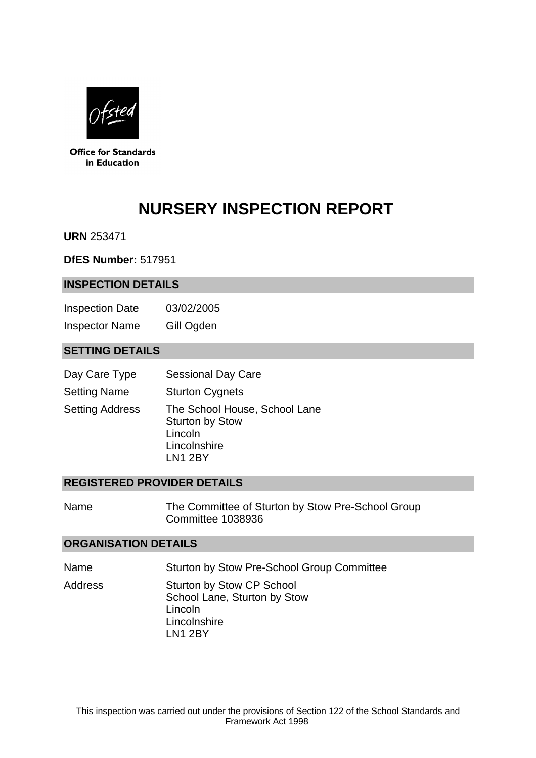

**Office for Standards** in Education

# **NURSERY INSPECTION REPORT**

**URN** 253471

**DfES Number:** 517951

#### **INSPECTION DETAILS**

Inspection Date 03/02/2005 Inspector Name Gill Ogden

## **SETTING DETAILS**

| Day Care Type          | <b>Sessional Day Care</b>                                                                     |
|------------------------|-----------------------------------------------------------------------------------------------|
| <b>Setting Name</b>    | <b>Sturton Cygnets</b>                                                                        |
| <b>Setting Address</b> | The School House, School Lane<br><b>Sturton by Stow</b><br>Lincoln<br>Lincolnshire<br>LN1 2BY |

#### **REGISTERED PROVIDER DETAILS**

Name The Committee of Sturton by Stow Pre-School Group Committee 1038936

#### **ORGANISATION DETAILS**

Name Sturton by Stow Pre-School Group Committee

Address Sturton by Stow CP School School Lane, Sturton by Stow Lincoln **Lincolnshire** LN1 2BY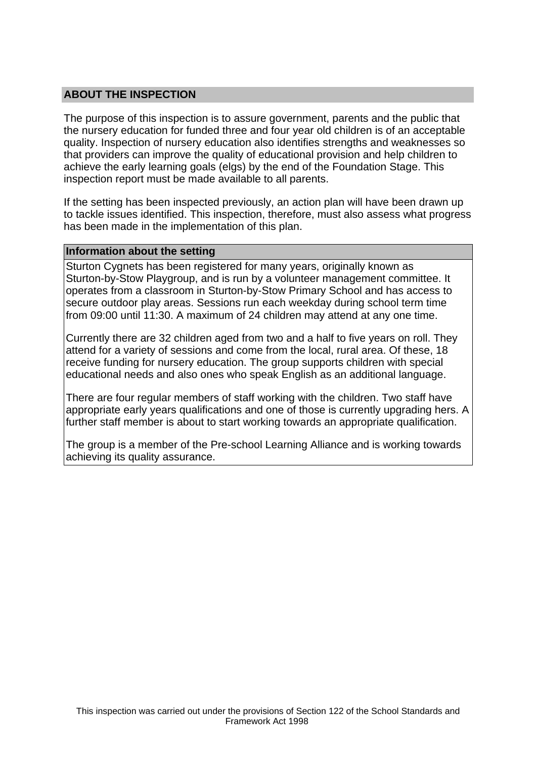## **ABOUT THE INSPECTION**

The purpose of this inspection is to assure government, parents and the public that the nursery education for funded three and four year old children is of an acceptable quality. Inspection of nursery education also identifies strengths and weaknesses so that providers can improve the quality of educational provision and help children to achieve the early learning goals (elgs) by the end of the Foundation Stage. This inspection report must be made available to all parents.

If the setting has been inspected previously, an action plan will have been drawn up to tackle issues identified. This inspection, therefore, must also assess what progress has been made in the implementation of this plan.

#### **Information about the setting**

Sturton Cygnets has been registered for many years, originally known as Sturton-by-Stow Playgroup, and is run by a volunteer management committee. It operates from a classroom in Sturton-by-Stow Primary School and has access to secure outdoor play areas. Sessions run each weekday during school term time from 09:00 until 11:30. A maximum of 24 children may attend at any one time.

Currently there are 32 children aged from two and a half to five years on roll. They attend for a variety of sessions and come from the local, rural area. Of these, 18 receive funding for nursery education. The group supports children with special educational needs and also ones who speak English as an additional language.

There are four regular members of staff working with the children. Two staff have appropriate early years qualifications and one of those is currently upgrading hers. A further staff member is about to start working towards an appropriate qualification.

The group is a member of the Pre-school Learning Alliance and is working towards achieving its quality assurance.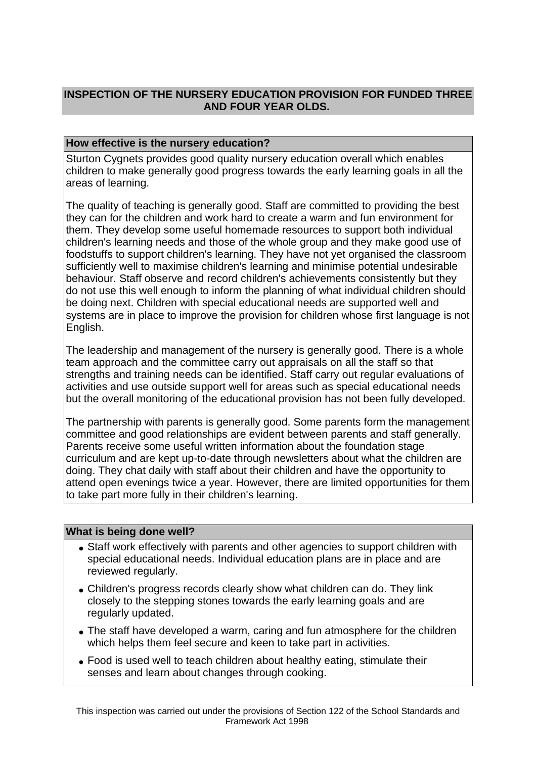# **INSPECTION OF THE NURSERY EDUCATION PROVISION FOR FUNDED THREE AND FOUR YEAR OLDS.**

## **How effective is the nursery education?**

Sturton Cygnets provides good quality nursery education overall which enables children to make generally good progress towards the early learning goals in all the areas of learning.

The quality of teaching is generally good. Staff are committed to providing the best they can for the children and work hard to create a warm and fun environment for them. They develop some useful homemade resources to support both individual children's learning needs and those of the whole group and they make good use of foodstuffs to support children's learning. They have not yet organised the classroom sufficiently well to maximise children's learning and minimise potential undesirable behaviour. Staff observe and record children's achievements consistently but they do not use this well enough to inform the planning of what individual children should be doing next. Children with special educational needs are supported well and systems are in place to improve the provision for children whose first language is not English.

The leadership and management of the nursery is generally good. There is a whole team approach and the committee carry out appraisals on all the staff so that strengths and training needs can be identified. Staff carry out regular evaluations of activities and use outside support well for areas such as special educational needs but the overall monitoring of the educational provision has not been fully developed.

The partnership with parents is generally good. Some parents form the management committee and good relationships are evident between parents and staff generally. Parents receive some useful written information about the foundation stage curriculum and are kept up-to-date through newsletters about what the children are doing. They chat daily with staff about their children and have the opportunity to attend open evenings twice a year. However, there are limited opportunities for them to take part more fully in their children's learning.

### **What is being done well?**

- Staff work effectively with parents and other agencies to support children with special educational needs. Individual education plans are in place and are reviewed regularly.
- Children's progress records clearly show what children can do. They link closely to the stepping stones towards the early learning goals and are regularly updated.
- The staff have developed a warm, caring and fun atmosphere for the children which helps them feel secure and keen to take part in activities.
- Food is used well to teach children about healthy eating, stimulate their senses and learn about changes through cooking.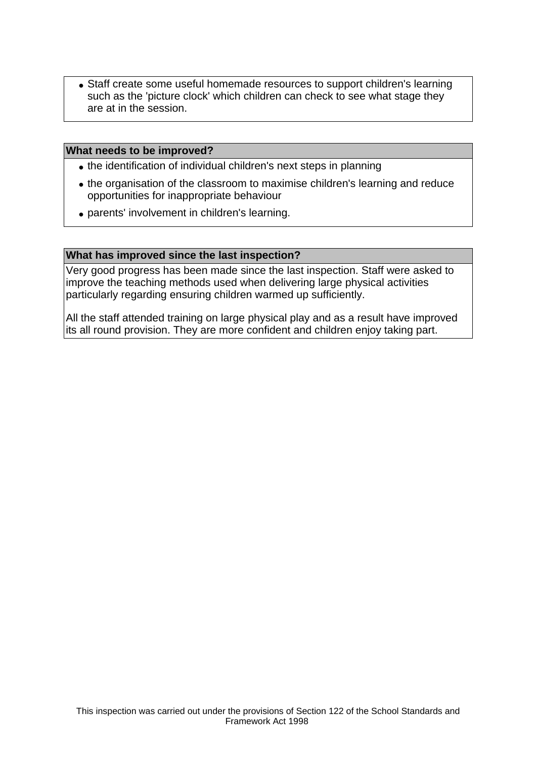• Staff create some useful homemade resources to support children's learning such as the 'picture clock' which children can check to see what stage they are at in the session.

#### **What needs to be improved?**

- the identification of individual children's next steps in planning
- the organisation of the classroom to maximise children's learning and reduce opportunities for inappropriate behaviour
- parents' involvement in children's learning.

#### **What has improved since the last inspection?**

Very good progress has been made since the last inspection. Staff were asked to improve the teaching methods used when delivering large physical activities particularly regarding ensuring children warmed up sufficiently.

All the staff attended training on large physical play and as a result have improved its all round provision. They are more confident and children enjoy taking part.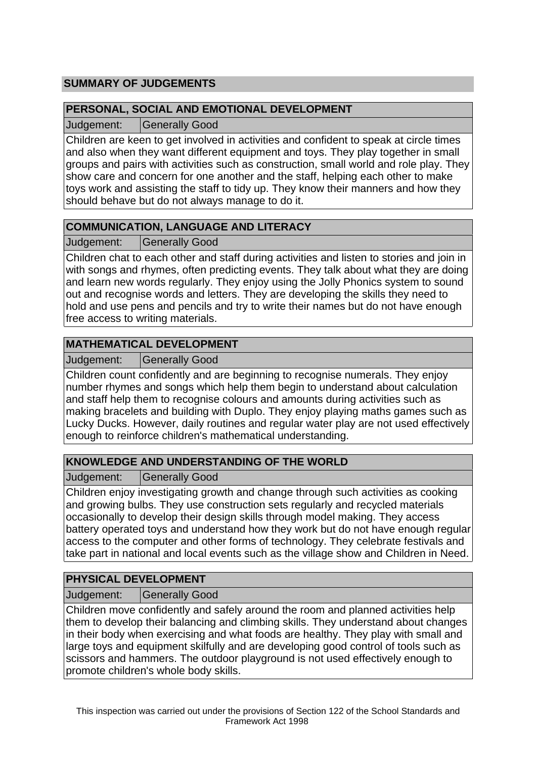# **SUMMARY OF JUDGEMENTS**

## **PERSONAL, SOCIAL AND EMOTIONAL DEVELOPMENT**

Judgement: Generally Good

Children are keen to get involved in activities and confident to speak at circle times and also when they want different equipment and toys. They play together in small groups and pairs with activities such as construction, small world and role play. They show care and concern for one another and the staff, helping each other to make toys work and assisting the staff to tidy up. They know their manners and how they should behave but do not always manage to do it.

# **COMMUNICATION, LANGUAGE AND LITERACY**

Judgement: Generally Good

Children chat to each other and staff during activities and listen to stories and join in with songs and rhymes, often predicting events. They talk about what they are doing and learn new words regularly. They enjoy using the Jolly Phonics system to sound out and recognise words and letters. They are developing the skills they need to hold and use pens and pencils and try to write their names but do not have enough free access to writing materials.

# **MATHEMATICAL DEVELOPMENT**

Judgement: | Generally Good

Children count confidently and are beginning to recognise numerals. They enjoy number rhymes and songs which help them begin to understand about calculation and staff help them to recognise colours and amounts during activities such as making bracelets and building with Duplo. They enjoy playing maths games such as Lucky Ducks. However, daily routines and regular water play are not used effectively enough to reinforce children's mathematical understanding.

# **KNOWLEDGE AND UNDERSTANDING OF THE WORLD**

Judgement: Generally Good

Children enjoy investigating growth and change through such activities as cooking and growing bulbs. They use construction sets regularly and recycled materials occasionally to develop their design skills through model making. They access battery operated toys and understand how they work but do not have enough regular access to the computer and other forms of technology. They celebrate festivals and take part in national and local events such as the village show and Children in Need.

# **PHYSICAL DEVELOPMENT**

Judgement: | Generally Good

Children move confidently and safely around the room and planned activities help them to develop their balancing and climbing skills. They understand about changes in their body when exercising and what foods are healthy. They play with small and large toys and equipment skilfully and are developing good control of tools such as scissors and hammers. The outdoor playground is not used effectively enough to promote children's whole body skills.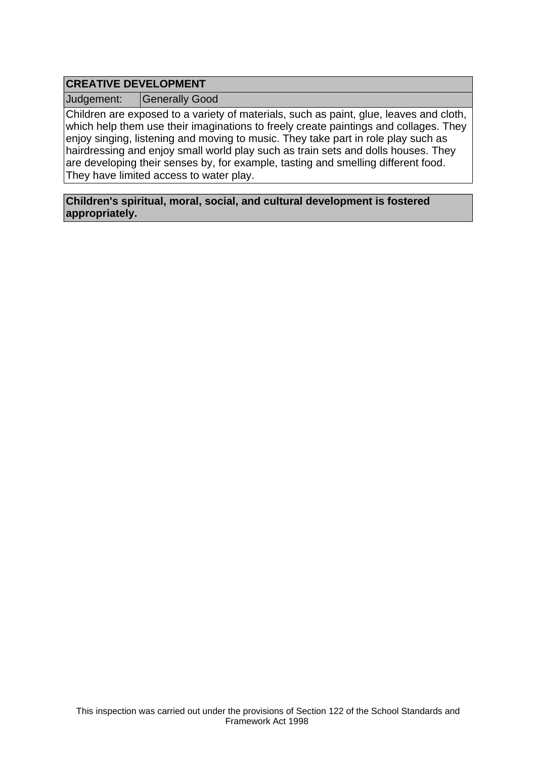# **CREATIVE DEVELOPMENT**

Judgement: | Generally Good

Children are exposed to a variety of materials, such as paint, glue, leaves and cloth, which help them use their imaginations to freely create paintings and collages. They enjoy singing, listening and moving to music. They take part in role play such as hairdressing and enjoy small world play such as train sets and dolls houses. They are developing their senses by, for example, tasting and smelling different food. They have limited access to water play.

**Children's spiritual, moral, social, and cultural development is fostered appropriately.**